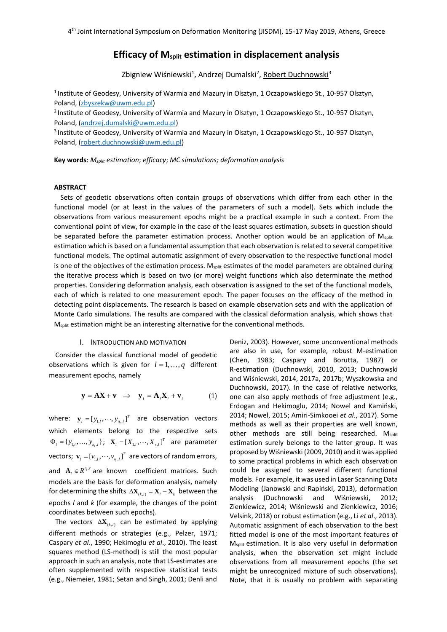# **Efficacy of Msplit estimation in displacement analysis**

Zbigniew Wiśniewski<sup>1</sup>, Andrzej Dumalski<sup>2</sup>, <u>Robert Duchnowski</u><sup>3</sup>

<sup>1</sup> Institute of Geodesy, University of Warmia and Mazury in Olsztyn, 1 Oczapowskiego St., 10-957 Olsztyn, Poland, [\(zbyszekw@u](mailto:zbyszekw@)wm.edu.pl)

<sup>2</sup> Institute of Geodesy, University of Warmia and Mazury in Olsztyn, 1 Oczapowskiego St., 10-957 Olsztyn, Poland, [\(andrzej.dumalski@u](mailto:andrzej.dumalski@)wm.edu.pl)

<sup>3</sup> Institute of Geodesy, University of Warmia and Mazury in Olsztyn, 1 Oczapowskiego St., 10-957 Olsztyn, Poland, [\(robert.duchnowski@u](mailto:robert.duchnowski@)wm.edu.pl)

**Key words**: *Msplit estimation*; *efficacy*; *MC simulations; deformation analysis*

### **ABSTRACT**

Sets of geodetic observations often contain groups of observations which differ from each other in the functional model (or at least in the values of the parameters of such a model). Sets which include the observations from various measurement epochs might be a practical example in such a context. From the conventional point of view, for example in the case of the least squares estimation, subsets in question should be separated before the parameter estimation process. Another option would be an application of M<sub>split</sub> estimation which is based on a fundamental assumption that each observation is related to several competitive functional models. The optimal automatic assignment of every observation to the respective functional model is one of the objectives of the estimation process.  $M_{split}$  estimates of the model parameters are obtained during the iterative process which is based on two (or more) weight functions which also determinate the method properties. Considering deformation analysis, each observation is assigned to the set of the functional models, each of which is related to one measurement epoch. The paper focuses on the efficacy of the method in detecting point displacements. The research is based on example observation sets and with the application of Monte Carlo simulations. The results are compared with the classical deformation analysis, which shows that M<sub>split</sub> estimation might be an interesting alternative for the conventional methods.

### I. INTRODUCTION AND MOTIVATION

Consider the classical functional model of geodetic observations which is given for  $l = 1, ..., q$  different measurement epochs, namely

$$
\mathbf{y} = \mathbf{A}\mathbf{X} + \mathbf{v} \implies \mathbf{y}_i = \mathbf{A}_i \mathbf{X}_i + \mathbf{v}_i \tag{1}
$$

where:  $\mathbf{y}_{l} = [y_{1,l}, \cdots, y_{n_{l},l}]$  $\mathbf{y}_{l} = [y_{1,l}, \cdots, y_{n_l,l}]^T$  are observation vectors which elements belong to the respective sets  $\Phi_{i} = \{y_{1,i}, \ldots, y_{n_{i},l}\};$   $\mathbf{X}_{i} = [X_{1,i}, \cdots, X_{r,l}]^{T}$  are parameter vectors;  $\mathbf{v}_{l} = [\nu_{1,l}, \cdots, \nu_{n_l,l}]$  $\mathbf{v}_{i} = \left[v_{1,i}, \cdots, v_{n,i}\right]^T$  are vectors of random errors, and  $A_i \in R^{n_i, r}$  are known coefficient matrices. Such models are the basis for deformation analysis, namely for determining the shifts  $\Delta \mathbf{X}_{(k,l)} = \mathbf{X}_l - \mathbf{X}_k$  between the epochs *l* and *k* (for example, the changes of the point coordinates between such epochs).

The vectors  $\Delta X_{(k,l)}$  can be estimated by applying different methods or strategies (e.g., Pelzer, 1971; Caspary *et al*., 1990; Hekimoglu *et al*., 2010). The least squares method (LS-method) is still the most popular approach in such an analysis, note that LS-estimates are often supplemented with respective statistical tests (e.g., Niemeier, 1981; Setan and Singh, 2001; Denli and

Deniz, 2003). However, some unconventional methods are also in use, for example, robust M-estimation (Chen, 1983; Caspary and Borutta, 1987) or R-estimation (Duchnowski, 2010, 2013; Duchnowski and Wiśniewski, 2014, 2017a, 2017b; Wyszkowska and Duchnowski, 2017). In the case of relative networks, one can also apply methods of free adjustment (e.g., Erdogan and Hekimoglu, 2014; Nowel and Kamiński, 2014; Nowel, 2015; Amiri-Simkooei *et al.*, 2017). Some methods as well as their properties are well known, other methods are still being researched. M<sub>split</sub> estimation surely belongs to the latter group. It was proposed by Wiśniewski (2009, 2010) and it was applied to some practical problems in which each observation could be assigned to several different functional models. For example, it was used in Laser Scanning Data Modeling (Janowski and Rapiński, 2013), deformation analysis (Duchnowski and Wiśniewski, 2012; Zienkiewicz, 2014; Wiśniewski and Zienkiewicz, 2016; Velsink, 2018) or robust estimation (e.g., Li *et al*., 2013). Automatic assignment of each observation to the best fitted model is one of the most important features of M<sub>split</sub> estimation. It is also very useful in deformation analysis, when the observation set might include observations from all measurement epochs (the set might be unrecognized mixture of such observations). Note, that it is usually no problem with separating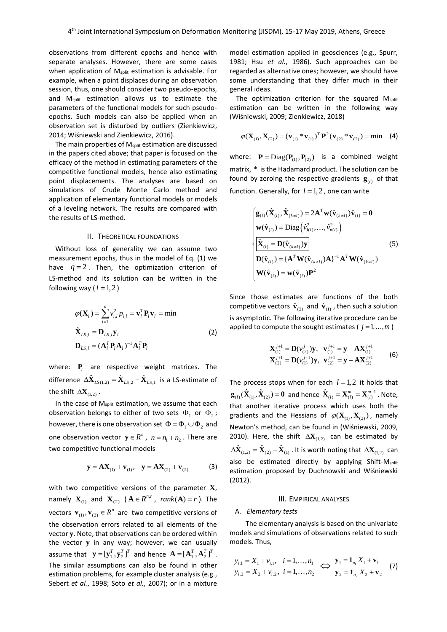observations from different epochs and hence with separate analyses. However, there are some cases when application of M<sub>split</sub> estimation is advisable. For example, when a point displaces during an observation session, thus, one should consider two pseudo-epochs, and Msplit estimation allows us to estimate the parameters of the functional models for such pseudoepochs. Such models can also be applied when an observation set is disturbed by outliers (Zienkiewicz, 2014; Wiśniewski and Zienkiewicz, 2016).

The main properties of M<sub>split</sub> estimation are discussed in the papers cited above; that paper is focused on the efficacy of the method in estimating parameters of the competitive functional models, hence also estimating point displacements. The analyses are based on simulations of Crude Monte Carlo method and application of elementary functional models or models of a leveling network. The results are compared with the results of LS-method.

## II. THEORETICAL FOUNDATIONS

Without loss of generality we can assume two measurement epochs, thus in the model of Eq. (1) we have  $q=2$ . Then, the optimization criterion of LS-method and its solution can be written in the following way ( $l = 1, 2$ )

$$
\varphi(\mathbf{X}_{l}) = \sum_{i=1}^{n} v_{i,l}^{2} p_{i,l} = \mathbf{v}_{l}^{T} \mathbf{P}_{l} \mathbf{v}_{l} = \min
$$
  

$$
\hat{\mathbf{X}}_{LS,l} = \mathbf{D}_{LS,l} \mathbf{y}_{l}
$$
  

$$
\mathbf{D}_{LS,l} = (\mathbf{A}_{l}^{T} \mathbf{P}_{l} \mathbf{A}_{l})^{-1} \mathbf{A}_{l}^{T} \mathbf{P}_{l}
$$
\n(2)

where:  $P_{l}$  are respective weight matrices. The difference  $\Delta \hat{\mathbf{X}}_{LS(1,2)} = \hat{\mathbf{X}}_{LS,2} - \hat{\mathbf{X}}_{LS,1}$  is a LS-estimate of the shift  $\Delta\mathbf{X}_{(1,2)}$  .

In the case of Msplit estimation, we assume that each observation belongs to either of two sets  $\Phi_1$  or  $\Phi_2$ ; however, there is one observation set  $\Phi$  =  $\Phi$ <sub>1</sub>  $\cup$   $\Phi$ <sub>2</sub> and one observation vector  $y \in R^n$ ,  $n = n_1 + n_2$ . There are two competitive functional models

$$
y = AX_{(1)} + v_{(1)}, \quad y = AX_{(2)} + v_{(2)} \tag{3}
$$

with two competitive versions of the parameter **X**, namely  $\mathbf{X}_{(1)}$  and  $\mathbf{X}_{(2)}$  ( $\mathbf{A} \in \mathbb{R}^{n,r}$ , rank $(\mathbf{A}) = r$ ). The vectors  $\mathbf{v}_{(1)}, \mathbf{v}_{(2)} \in \mathbb{R}^n$  are two competitive versions of the observation errors related to all elements of the vector **y**. Note, that observations can be ordered within the vector **y** in any way; however, we can usually assume that  $\mathbf{y} = [\mathbf{y}_1^T, \mathbf{y}_2^T]^T$  and hence  $\mathbf{A} = [\mathbf{A}_1^T, \mathbf{A}_2^T]^T$ . The similar assumptions can also be found in other estimation problems, for example cluster analysis (e.g., Sebert *et al.*, 1998; Soto *et al.*, 2007); or in a mixture

model estimation applied in geosciences (e.g., Spurr, 1981; Hsu *et al.*, 1986). Such approaches can be regarded as alternative ones; however, we should have some understanding that they differ much in their general ideas.

The optimization criterion for the squared M<sub>split</sub> estimation can be written in the following way (Wiśniewski, 2009; Zienkiewicz, 2018)

$$
\varphi(\mathbf{X}_{(1)}, \mathbf{X}_{(2)}) = (\mathbf{v}_{(1)} * \mathbf{v}_{(1)})^T \mathbf{P}^2 (\mathbf{v}_{(2)} * \mathbf{v}_{(2)}) = \min (4)
$$

where:  $P = Diag(P_{(1)}, P_{(2)})$  is a combined weight matrix, \* is the Hadamard product. The solution can be found by zeroing the respective gradients  $\mathbf{g}_{(l)}$  of that function. Generally, for  $l = 1, 2$  , one can write

$$
\begin{cases}\n\mathbf{g}_{(l)}(\hat{\mathbf{X}}_{(l)}, \hat{\mathbf{X}}_{(k\neq l)}) = 2\mathbf{A}^T \mathbf{w}(\hat{\mathbf{v}}_{(k\neq l)}) \hat{\mathbf{v}}_{(l)} = \mathbf{0} \\
\mathbf{w}(\hat{\mathbf{v}}_{(l)}) = \text{Diag}(\hat{v}_{1(l)}^2, \dots, \hat{v}_{n(l)}^2) \\
\hat{\mathbf{X}}_{(l)} = \mathbf{D}(\hat{\mathbf{v}}_{(k\neq l)}) \mathbf{y} \\
\mathbf{D}(\hat{\mathbf{v}}_{(l)}) = {\mathbf{A}^T \mathbf{W}(\hat{\mathbf{v}}_{(k\neq l)}) \mathbf{A}}^{-1} \mathbf{A}^T \mathbf{W}(\hat{\mathbf{v}}_{(k\neq l)}) \\
\mathbf{W}(\hat{\mathbf{v}}_{(l)}) = \mathbf{w}(\hat{\mathbf{v}}_{(l)}) \mathbf{P}^2\n\end{cases}
$$
\n(5)

Since those estimates are functions of the both competitive vectors  $\hat{\mathbf{v}}_{(2)}$  and  $\hat{\mathbf{v}}_{(1)}$ , then such a solution is asymptotic. The following iterative procedure can be applied to compute the sought estimates ( $j = 1, ..., m$ )

$$
\mathbf{X}_{(1)}^{j+1} = \mathbf{D}(v_{(2)}^j)\mathbf{y}, \quad \mathbf{v}_{(1)}^{j+1} = \mathbf{y} - \mathbf{A}\mathbf{X}_{(1)}^{j+1}
$$
\n
$$
\mathbf{X}_{(2)}^{j+1} = \mathbf{D}(v_{(1)}^{j+1})\mathbf{y}, \quad \mathbf{v}_{(2)}^{j+1} = \mathbf{y} - \mathbf{A}\mathbf{X}_{(2)}^{j+1}
$$
\n(6)

The process stops when for each  $l = 1, 2$  it holds that  ${\bf g}_{(I)}(\hat{\bf X}_{(1)},\hat{\bf X}_{(2)}) = {\bf 0}$  and hence  $\hat{\bf X}_{(I)} = {\bf X}_{(I)}^m = {\bf X}_{(I)}^{m-1}$ . Note, that another iterative process which uses both the gradients and the Hessians of  $\varphi(\mathbf{X}_{(1)}, \mathbf{X}_{(2)})$ , namely Newton's method, can be found in (Wiśniewski, 2009, 2010). Here, the shift  $\Delta \mathbf{X}_{(1,2)}$  can be estimated by  $\Delta \hat{\mathbf{X}}_{(1,2)} = \hat{\mathbf{X}}_{(2)} - \hat{\mathbf{X}}_{(1)}$  . It is worth noting that  $\Delta \mathbf{X}_{(1,2)}$  can also be estimated directly by applying Shift-M<sub>split</sub> estimation proposed by Duchnowski and Wiśniewski (2012).

#### III. EMPIRICAL ANALYSES

#### A. *Elementary tests*

The elementary analysis is based on the univariate models and simulations of observations related to such models. Thus,

$$
y_{i,1} = X_1 + v_{i,1}, \quad i = 1, ..., n_1
$$
  
\n
$$
y_{i,2} = X_2 + v_{i,2}, \quad i = 1, ..., n_2
$$
 
$$
\Leftrightarrow
$$
 
$$
\mathbf{y}_1 = \mathbf{1}_{n_1} X_1 + \mathbf{v}_1
$$
  
\n
$$
\mathbf{y}_2 = \mathbf{1}_{n_2} X_2 + \mathbf{v}_2
$$
 (7)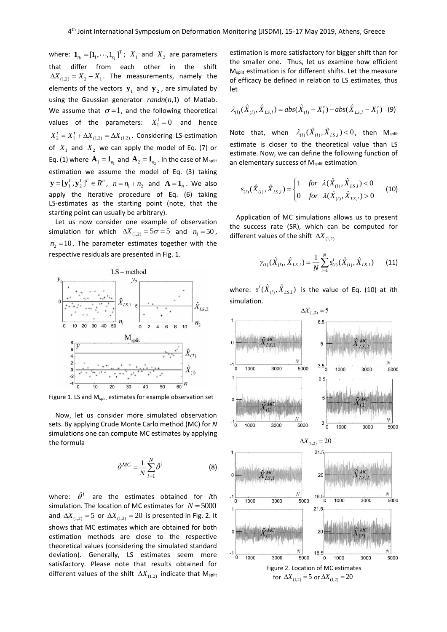where:  $\mathbf{1}_{\eta_l} = \left[ 1_1, \cdots, 1_{\eta_l} \right]$  $\mathbf{1}_{n_l} = [1_1, \cdots, 1_{n_l}]^T$ ;  $X_1$  and  $X_2$  are parameters that differ from each other in the shift  $\Delta X_{(1,2)} = X_2 - X_1$ . The measurements, namely the elements of the vectors  $y_1$  and  $y_2$ , are simulated by using the Gaussian generator  $randn(n,1)$  of Matlab. We assume that  $\sigma = 1$ , and the following theoretical values of the parameters:  $X_1^t = 0$  and hence  $X_2^t = X_1^t + \Delta X_{(1,2)} = \Delta X_{(1,2)}$ . Considering LS-estimation of  $X_1$  and  $X_2$  we can apply the model of Eq. (7) or Eq. (1) where  $\mathbf{A}_{1} = \mathbf{1}_{n_{1}}$  and  $\mathbf{A}_{2} = \mathbf{1}_{n_{2}}$  . In the case of M<sub>split</sub> estimation we assume the model of Eq. (3) taking  $\mathbf{y} = [\mathbf{y}_1^T, \mathbf{y}_2^T]^T \in R^n$ ,  $n = n_1 + n_2$  and  $\mathbf{A} = \mathbf{1}_n$ . We also apply the iterative procedure of Eq. (6) taking LS-estimates as the starting point (note, that the starting point can usually be arbitrary).

Let us now consider one example of observation simulation for which  $\Delta X_{(1,2)} = 5\sigma = 5$  and  $n_1 = 50$ ,  $n_{2}$  =10. The parameter estimates together with the respective residuals are presented in Fig. 1.



Figure 1. LS and M<sub>split</sub> estimates for example observation set

Now, let us consider more simulated observation sets. By applying Crude Monte Carlo method (MC) for *N* simulations one can compute MC estimates by applying the formula

$$
\hat{\theta}^{MC} = \frac{1}{N} \sum_{i=1}^{N} \hat{\theta}^{i}
$$
 (8)

where:  $\hat{\theta}^i$  are the estimates obtained for *i*th simulation. The location of MC estimates for  $N$  =  $5000$ and  $\Delta X_{(1,2)} = 5$  or  $\Delta X_{(1,2)} = 20$  is presented in Fig. 2. It shows that MC estimates which are obtained for both estimation methods are close to the respective theoretical values (considering the simulated standard deviation). Generally, LS estimates seem more satisfactory. Please note that results obtained for different values of the shift  $\Delta X_{(1,2)}$  indicate that M<sub>split</sub>

estimation is more satisfactory for bigger shift than for the smaller one. Thus, let us examine how efficient Msplit estimation is for different shifts. Let the measure of efficacy be defined in relation to LS estimates, thus let

$$
\lambda_{(l)}(\hat{X}_{(l)}, \hat{X}_{LS,l}) = abs(\hat{X}_{(l)} - X_l^t) - abs(\hat{X}_{LS,l} - X_l^t)
$$
 (9)

Note that, when  $\lambda_{(l)}(\hat{X}_{(l)},\hat{X}_{LS,l})$  < 0, then M<sub>split</sub> estimate is closer to the theoretical value than LS estimate. Now, we can define the following function of an elementary success of M<sub>split</sub> estimation

$$
s_{(l)}(\hat{X}_{(l)}, \hat{X}_{LS,l}) = \begin{cases} 1 & \text{for } \lambda(\hat{X}_{(l)}, \hat{X}_{LS,l}) < 0 \\ 0 & \text{for } \lambda(\hat{X}_{(l)}, \hat{X}_{LS,l}) > 0 \end{cases}
$$
 (10)

Application of MC simulations allows us to present the success rate (SR), which can be computed for different values of the shift  $\Delta X_{(1,2)}$ 

$$
\gamma_{(l)}(\hat{X}_{(l)}, \hat{X}_{LS,l}) = \frac{1}{N} \sum_{i=1}^{N} s_{(l)}^i(\hat{X}_{(l)}, \hat{X}_{LS,l})
$$
(11)

where:  $s^{i}(\hat{X}_{(l)},\hat{X}_{LS,l})$  is the value of Eq. (10) at *i*th simulation.

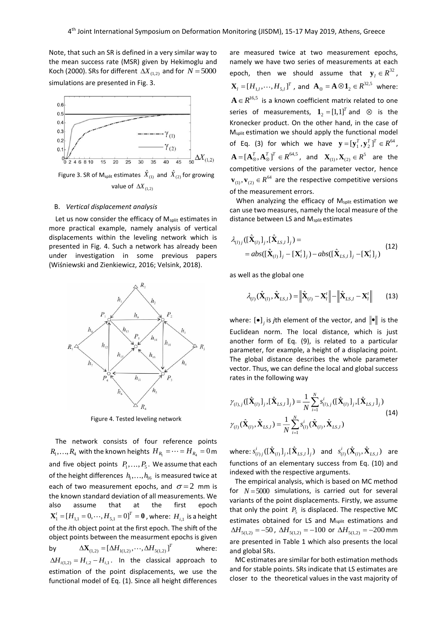Note, that such an SR is defined in a very similar way to the mean success rate (MSR) given by Hekimoglu and Koch (2000). SRs for different  $\left.\Delta X_{_{(1,2)}}\right.$  and for  $\left.N=5000\right.$ simulations are presented in Fig. 3.



Figure 3. SR of  $M_{split}$  estimates  $\hat{X}_{(1)}$  and  $\hat{X}_{(2)}$  for growing value of  $\left.\Delta X_{_{(1,2)}}\right.$ 

### B. *Vertical displacement analysis*

Let us now consider the efficacy of M<sub>split</sub> estimates in more practical example, namely analysis of vertical displacements within the leveling network which is presented in Fig. 4. Such a network has already been under investigation in some previous papers (Wiśniewski and Zienkiewicz, 2016; Velsink, 2018).



Figure 4. Tested leveling network

The network consists of four reference points  $R_{\!\scriptscriptstyle 1} , \ldots , R_{\!\scriptscriptstyle 4}$  with the known heights  $\,H_{\,R_{\!\scriptscriptstyle 1}} = \cdots = H_{\,R_{\!\scriptscriptstyle 4}} = 0\,\text{m}$  . and five object points  $P_1, \ldots, P_5$ . We assume that each of the height differences  $h_1, \ldots, h_{16}$  is measured twice at each of two measurement epochs, and  $\sigma = 2$  mm is the known standard deviation of all measurements. We also assume that at the first epoch  $\mathbf{X}_1^t = [H_{1,1} = 0, \cdots, H_{5,1} = 0]^T = \mathbf{0}$  , where:  $H_{i,1}$  is a height of the *i*th object point at the first epoch. The shift of the object points between the measurment epochs is given by  $\Delta$ **X**<sub>(1,2)</sub> =  $[\Delta H_{1(1,2)}, \cdots, \Delta H_{5(1,2)}]^T$ where:  $\Delta H$ <sub>*i*(1,2)</sub> =  $H$ <sub>*i*,2</sub> –  $H$ <sub>*i*,1</sub>. In the classical approach to estimation of the point displacements, we use the functional model of Eq. (1). Since all height differences

are measured twice at two measurement epochs, namely we have two series of measurements at each epoch, then we should assume that  $y_i \in R^{32}$ ,  $\mathbf{X}_l = [H_{1,l}, \cdots, H_{5,l}]^T$ , and  $\mathbf{A}_{\otimes} = \mathbf{A} \otimes \mathbf{1}_2 \in R^{32,5}$  where:  $A \in R^{16,5}$  is a known coefficient matrix related to one series of measurements,  $\mathbf{1}_2 = [1,1]^T$  and  $\otimes$  is the Kronecker product. On the other hand, in the case of M<sub>split</sub> estimation we should apply the functional model of Eq. (3) for which we have  $\mathbf{y} = [\mathbf{y}_1^T, \mathbf{y}_2^T]^T \in R^{64}$ ,  $\mathbf{A}=[\mathbf{A}_\otimes^T,\mathbf{A}_\otimes^T]^T\in R^{64,5}$ , and  $\mathbf{X}_{(1)},\mathbf{X}_{(2)}\in R^5$  are the competitive versions of the parameter vector, hence  $\mathbf{v}_{(1)}, \mathbf{v}_{(2)} \in R^{64}$  are the respective competitive versions of the measurement errors.

When analyzing the efficacy of M<sub>split</sub> estimation we can use two measures, namely the local measure of the distance between LS and Msplit estimates

$$
\lambda_{(l)}( [\hat{\mathbf{X}}_{(l)}]_j, [\hat{\mathbf{X}}_{LS,l}]_j ) =
$$
  
=  $abs( [\hat{\mathbf{X}}_{(l)}]_j - [\mathbf{X}_l^t]_j ) - abs( [\hat{\mathbf{X}}_{LS,l}]_j - [\mathbf{X}_l^t]_j )$  (12)

as well as the global one

$$
\lambda_{(I)}(\hat{\mathbf{X}}_{(I)}, \hat{\mathbf{X}}_{LS,I}) = \left\| \hat{\mathbf{X}}_{(I)} - \mathbf{X}_I^t \right\| - \left\| \hat{\mathbf{X}}_{LS,I} - \mathbf{X}_I^t \right\| \qquad (13)
$$

where:  $[\bullet]_j$  is *j*th element of the vector, and  $\|\bullet\|$  is the Euclidean norm. The local distance, which is just another form of Eq. (9), is related to a particular parameter, for example, a height of a displacing point. The global distance describes the whole parameter vector. Thus, we can define the local and global success rates in the following way

$$
\gamma_{(l),j}([\hat{\mathbf{X}}_{(l)}]_j, [\hat{\mathbf{X}}_{LS,l}]_j) = \frac{1}{N} \sum_{i=1}^N s^i_{(l),j}([\hat{\mathbf{X}}_{(l)}]_j, [\hat{\mathbf{X}}_{LS,l}]_j)
$$
\n
$$
\gamma_{(l)}(\hat{\mathbf{X}}_{(l)}, \hat{\mathbf{X}}_{LS,l}) = \frac{1}{N} \sum_{i=1}^N s^i_{(l)}(\hat{\mathbf{X}}_{(l)}, \hat{\mathbf{X}}_{LS,l})
$$
\n(14)

where:  $s^i_{(l)j}([\hat{\textbf{X}}_{(l)}]_j,[\hat{\textbf{X}}_{LS,l}]_j)$  and  $s^i_{(l)}(\hat{\textbf{X}}_{(l)},\hat{\textbf{X}}_{LS,l})$  are functions of an elementary success from Eq. (10) and indexed with the respective arguments.

The empirical analysis, which is based on MC method for  $N = 5000$  simulations, is carried out for several variants of the point displacements. Firstly, we assume that only the point  $P_5$  is displaced. The respective MC estimates obtained for LS and M<sub>split</sub> estimations and  $\Delta H_{5(1,2)} = -50$ ,  $\Delta H_{5(1,2)} = -100$  or  $\Delta H_{5(1,2)} = -200$  mm are presented in Table 1 which also presents the local and global SRs.

MC estimates are similar for both estimation methods and for stable points. SRs indicate that LS estimates are closer to the theoretical values in the vast majority of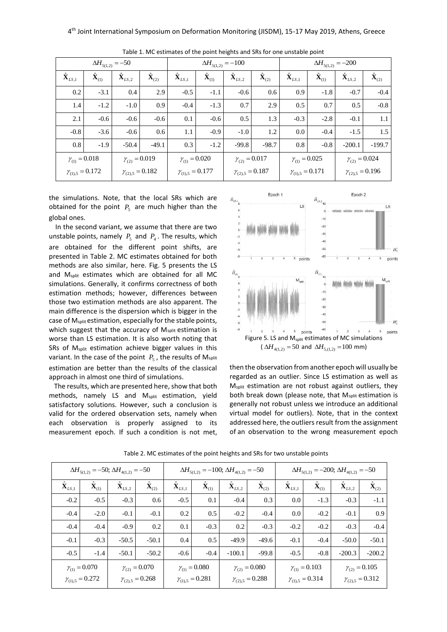| $\Delta H_{5(1,2)} = -50$ |                                     |                           |                          | $\Delta H_{5(1,2)} = -100$ |                                             |                           |                          | $\Delta H_{5(1,2)} = -200$ |                                 |                           |                          |
|---------------------------|-------------------------------------|---------------------------|--------------------------|----------------------------|---------------------------------------------|---------------------------|--------------------------|----------------------------|---------------------------------|---------------------------|--------------------------|
| $\hat{\mathbf{X}}_{LS,1}$ | $\mathbf{\hat{X}}_{\left(1\right)}$ | $\hat{\mathbf{X}}_{LS,2}$ | $\hat{\mathbf{X}}_{(2)}$ | $\hat{\textbf{X}}_{LS,1}$  | $\mathbf{\hat{X}}_{\scriptscriptstyle (1)}$ | $\hat{\mathbf{X}}_{LS,2}$ | $\hat{\mathbf{X}}_{(2)}$ | $\hat{\mathbf{X}}_{LS,1}$  | $\mathbf{\hat{X}}_{\text{(1)}}$ | $\hat{\mathbf{X}}_{LS,2}$ | $\mathbf{\hat{X}}_{(2)}$ |
| 0.2                       | $-3.1$                              | 0.4                       | 2.9                      | $-0.5$                     | $-1.1$                                      | $-0.6$                    | 0.6                      | 0.9                        | $-1.8$                          | $-0.7$                    | $-0.4$                   |
| 1.4                       | $-1.2$                              | $-1.0$                    | 0.9                      | $-0.4$                     | $-1.3$                                      | 0.7                       | 2.9                      | 0.5                        | 0.7                             | 0.5                       | $-0.8$                   |
| 2.1                       | $-0.6$                              | $-0.6$                    | $-0.6$                   | 0.1                        | $-0.6$                                      | 0.5                       | 1.3                      | $-0.3$                     | $-2.8$                          | $-0.1$                    | 1.1                      |
| $-0.8$                    | $-3.6$                              | $-0.6$                    | 0.6                      | 1.1                        | $-0.9$                                      | $-1.0$                    | 1.2                      | 0.0                        | $-0.4$                          | $-1.5$                    | 1.5                      |
| 0.8                       | $-1.9$                              | $-50.4$                   | $-49.1$                  | 0.3                        | $-1.2$                                      | $-99.8$                   | $-98.7$                  | 0.8                        | $-0.8$                          | $-200.1$                  | $-199.7$                 |
| $\gamma_{(1)} = 0.018$    |                                     | $\gamma_{(2)} = 0.019$    |                          | $\gamma_{(1)} = 0.020$     |                                             | $\gamma_{(2)} = 0.017$    |                          | $\gamma_{(1)} = 0.025$     |                                 | $\gamma_{(2)} = 0.024$    |                          |
| $\gamma_{(1),5} = 0.172$  |                                     | $\gamma_{(2),5} = 0.182$  |                          | $\gamma_{(1),5} = 0.177$   |                                             | $\gamma_{(2),5} = 0.187$  |                          | $\gamma_{(1),5} = 0.171$   |                                 | $\gamma_{(2),5} = 0.196$  |                          |

Table 1. MC estimates of the point heights and SRs for one unstable point

the simulations. Note, that the local SRs which are obtained for the point  $P_5$  are much higher than the global ones.

In the second variant, we assume that there are two unstable points, namely  $P_5$  and  $P_4$ . The results, which are obtained for the different point shifts, are presented in Table 2. MC estimates obtained for both methods are also similar, here. Fig. 5 presents the LS and M<sub>split</sub> estimates which are obtained for all MC simulations. Generally, it confirms correctness of both estimation methods; however, differences between those two estimation methods are also apparent. The main difference is the dispersion which is bigger in the case of M<sub>split</sub> estimation, especially for the stable points, which suggest that the accuracy of M<sub>split</sub> estimation is worse than LS estimation. It is also worth noting that SRs of M<sub>split</sub> estimation achieve bigger values in this variant. In the case of the point  $P_{\rm 5}$  , the results of M<sub>split</sub> estimation are better than the results of the classical approach in almost one third of simulations.

The results, which are presented here, show that both methods, namely LS and Msplit estimation, yield satisfactory solutions. However, such a conclusion is valid for the ordered observation sets, namely when each observation is properly assigned to its measurement epoch. If such a condition is not met,



then the observation from another epoch will usually be regarded as an outlier. Since LS estimation as well as M<sub>split</sub> estimation are not robust against outliers, they both break down (please note, that M<sub>split</sub> estimation is generally not robust unless we introduce an additional virtual model for outliers). Note, that in the context addressed here, the outliers result from the assignment of an observation to the wrong measurement epoch

| $\Delta H_{5(1,2)} = -50$ ; $\Delta H_{4(1,2)} = -50$ |                           |                            |                           | $\Delta H_{5(1,2)} = -100; \Delta H_{4(1,2)} = -50$ |                           |                            |                    | $\Delta H_{5(1,2)} = -200$ ; $\Delta H_{4(1,2)} = -50$ |                           |                            |                           |
|-------------------------------------------------------|---------------------------|----------------------------|---------------------------|-----------------------------------------------------|---------------------------|----------------------------|--------------------|--------------------------------------------------------|---------------------------|----------------------------|---------------------------|
| $\ddot{\mathbf{X}}_{LS,1}$                            | $\ddot{\mathbf{X}}_{(1)}$ | $\ddot{\mathbf{X}}_{LS,2}$ | $\ddot{\mathbf{X}}_{(2)}$ | $\ddot{\mathbf{X}}_{LS,1}$                          | $\ddot{\mathbf{X}}_{(1)}$ | $\ddot{\mathbf{X}}_{LS,2}$ | $\mathbf{X}_{(2)}$ | $\ddot{\mathbf{X}}_{LS,1}$                             | $\ddot{\mathbf{X}}_{(1)}$ | $\ddot{\mathbf{X}}_{LS,2}$ | $\ddot{\mathbf{X}}_{(2)}$ |
| $-0.2$                                                | $-0.5$                    | $-0.3$                     | 0.6                       | $-0.5$                                              | 0.1                       | $-0.4$                     | 0.3                | $0.0\,$                                                | $-1.3$                    | $-0.3$                     | $-1.1$                    |
| $-0.4$                                                | $-2.0$                    | $-0.1$                     | $-0.1$                    | 0.2                                                 | 0.5                       | $-0.2$                     | $-0.4$             | $0.0\,$                                                | $-0.2$                    | $-0.1$                     | 0.9                       |
| $-0.4$                                                | $-0.4$                    | $-0.9$                     | 0.2                       | 0.1                                                 | $-0.3$                    | 0.2                        | $-0.3$             | $-0.2$                                                 | $-0.2$                    | $-0.3$                     | $-0.4$                    |
| $-0.1$                                                | $-0.3$                    | $-50.5$                    | $-50.1$                   | 0.4                                                 | 0.5                       | $-49.9$                    | $-49.6$            | $-0.1$                                                 | $-0.4$                    | $-50.0$                    | $-50.1$                   |
| $-0.5$                                                | $-1.4$                    | $-50.1$                    | $-50.2$                   | $-0.6$                                              | $-0.4$                    | $-100.1$                   | $-99.8$            | $-0.5$                                                 | $-0.8$                    | $-200.3$                   | $-200.2$                  |
| $\gamma_{(1)} = 0.070$                                |                           | $\gamma_{(2)} = 0.070$     |                           | $\gamma_{(1)} = 0.080$                              |                           | $\gamma_{(2)} = 0.080$     |                    | $\gamma_{(1)} = 0.103$                                 |                           | $\gamma_{(2)} = 0.105$     |                           |
| $\gamma_{(1),5} = 0.272$                              |                           | $\gamma_{(2),5} = 0.268$   |                           | $\gamma_{(1),5} = 0.281$                            |                           | $\gamma_{(2),5} = 0.288$   |                    | $\gamma_{(1),5} = 0.314$                               |                           | $\gamma_{(2),5} = 0.312$   |                           |

Table 2. MC estimates of the point heights and SRs for two unstable points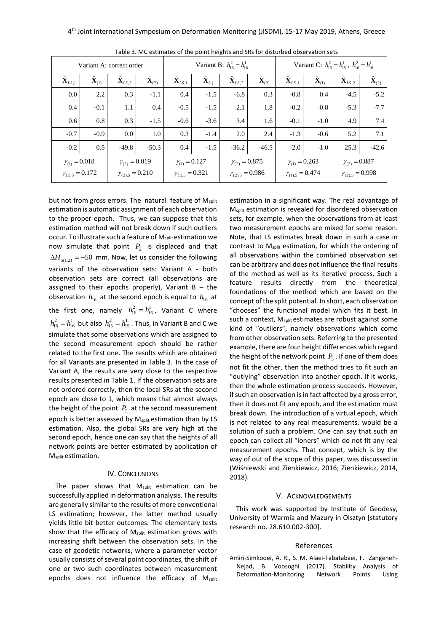| Variant A: correct order   |                           |                            |                           | Variant B: $h_{16}^2 = h_{16}^1$ |                           |                          |                    | Variant C: $h_{15}^2 = h_{15}^1$ , $h_{16}^2 = h_{16}^1$ |                          |                            |                           |
|----------------------------|---------------------------|----------------------------|---------------------------|----------------------------------|---------------------------|--------------------------|--------------------|----------------------------------------------------------|--------------------------|----------------------------|---------------------------|
| $\ddot{\mathbf{X}}_{LS,1}$ | $\ddot{\mathbf{X}}_{(1)}$ | $\ddot{\mathbf{X}}_{LS,2}$ | $\ddot{\mathbf{X}}_{(2)}$ | $\ddot{\mathbf{X}}_{LS,1}$       | $\ddot{\mathbf{X}}_{(1)}$ | $\mathbf{X}_{LS,2}$      | $\mathbf{X}_{(2)}$ | $\ddot{\mathbf{X}}_{LS,1}$                               | $\hat{\mathbf{X}}_{(1)}$ | $\ddot{\mathbf{X}}_{LS,2}$ | $\ddot{\mathbf{X}}_{(2)}$ |
| 0.0                        | 2.2                       | 0.3                        | $-1.1$                    | 0.4                              | $-1.5$                    | $-6.8$                   | 0.3                | $-0.8$                                                   | 0.4                      | $-4.5$                     | $-5.2$                    |
| 0.4                        | $-0.1$                    | 1.1                        | 0.4                       | $-0.5$                           | $-1.5$                    | 2.1                      | 1.8                | $-0.2$                                                   | $-0.8$                   | $-5.3$                     | $-7.7$                    |
| 0.6                        | 0.8                       | 0.3                        | $-1.5$                    | $-0.6$                           | $-3.6$                    | 3.4                      | 1.6                | $-0.1$                                                   | $-1.0$                   | 4.9                        | 7.4                       |
| $-0.7$                     | $-0.9$                    | 0.0                        | 1.0                       | 0.3                              | $-1.4$                    | 2.0                      | 2.4                | $-1.3$                                                   | $-0.6$                   | 5.2                        | 7.1                       |
| $-0.2$                     | 0.5                       | $-49.8$                    | $-50.3$                   | 0.4                              | $-1.5$                    | $-36.2$                  | $-46.5$            | $-2.0$                                                   | $-1.0$                   | 25.3                       | $-42.6$                   |
| $\gamma_{(1)} = 0.018$     |                           | $\gamma_{(2)} = 0.019$     |                           | $\gamma_{(1)} = 0.127$           |                           | $\gamma_{(2)} = 0.875$   |                    | $\gamma_{(1)} = 0.263$                                   |                          | $\gamma_{(2)} = 0.887$     |                           |
| $\gamma_{(1),5} = 0.172$   |                           | $\gamma_{(2),5} = 0.210$   |                           | $\gamma_{(1),5} = 0.321$         |                           | $\gamma_{(2),5} = 0.986$ |                    | $\gamma_{(1),5} = 0.474$                                 |                          | $\gamma_{(2),5} = 0.998$   |                           |

Table 3. MC estimates of the point heights and SRs for disturbed observation sets

but not from gross errors. The natural feature of M<sub>split</sub> estimation is automatic assignment of each observation to the proper epoch. Thus, we can suppose that this estimation method will not break down if such outliers occur. To illustrate such a feature of Msplit estimation we now simulate that point  $P_5$  is displaced and that  $\Delta H_{5(1,2)} = -50 \,$  mm. Now, let us consider the following variants of the observation sets: Variant A - both observation sets are correct (all observations are assigned to their epochs properly), Variant  $B - th$ e observation  $h_{16}$  at the second epoch is equal to  $h_{16}$  at the first one, namely  $h_{16}^2 = h_{16}^1$ , Variant C where  $h_{16}^2 = h_{16}^1$  but also  $h_{15}^2 = h_{15}^1$  . Thus, in Variant B and C we simulate that some observations which are assigned to the second measurement epoch should be rather related to the first one. The results which are obtained for all Variants are presented in Table 3. In the case of Variant A, the results are very close to the respective results presented in Table 1. If the observation sets are not ordered correctly, then the local SRs at the second epoch are close to 1, which means that almost always the height of the point  $P_5$  at the second measurement epoch is better assessed by M<sub>split</sub> estimation than by LS estimation. Also, the global SRs are very high at the second epoch, hence one can say that the heights of all network points are better estimated by application of M<sub>split</sub> estimation.

# IV. CONCLUSIONS

The paper shows that M<sub>split</sub> estimation can be successfully applied in deformation analysis. The results are generally similar to the results of more conventional LS estimation; however, the latter method usually yields little bit better outcomes. The elementary tests show that the efficacy of M<sub>split</sub> estimation grows with increasing shift between the observation sets. In the case of geodetic networks, where a parameter vector usually consists of several point coordinates, the shift of one or two such coordinates between measurement epochs does not influence the efficacy of Msplit estimation in a significant way. The real advantage of Msplit estimation is revealed for disordered observation sets, for example, when the observations from at least two measurement epochs are mixed for some reason. Note, that LS estimates break down in such a case in contrast to Msplit estimation, for which the ordering of all observations within the combined observation set can be arbitrary and does not influence the final results of the method as well as its iterative process. Such a feature results directly from the theoretical foundations of the method which are based on the concept of the split potential. In short, each observation "chooses" the functional model which fits it best. In such a context, M<sub>split</sub> estimates are robust against some kind of "outliers", namely observations which come from other observation sets. Referring to the presented example, there are four height differences which regard the height of the network point  $P_5$  . If one of them does not fit the other, then the method tries to fit such an "outlying" observation into another epoch. If it works, then the whole estimation process succeeds. However, if such an observation is in fact affected by a gross error, then it does not fit any epoch, and the estimation must break down. The introduction of a virtual epoch, which is not related to any real measurements, would be a solution of such a problem. One can say that such an epoch can collect all "loners" which do not fit any real measurement epochs. That concept, which is by the way of out of the scope of this paper, was discussed in (Wiśniewski and Zienkiewicz, 2016; Zienkiewicz, 2014, 2018).

### V. ACKNOWLEDGEMENTS

This work was supported by Institute of Geodesy, University of Warmia and Mazury in Olsztyn [statutory research no. 28.610.002-300].

# References

Amiri-Simkooei, A. R., S. M. Alaei-Tabatabaei, F. Zangeneh-Nejad, B. Voosoghi (2017). Stability Analysis of Deformation-Monitoring Network Points Using